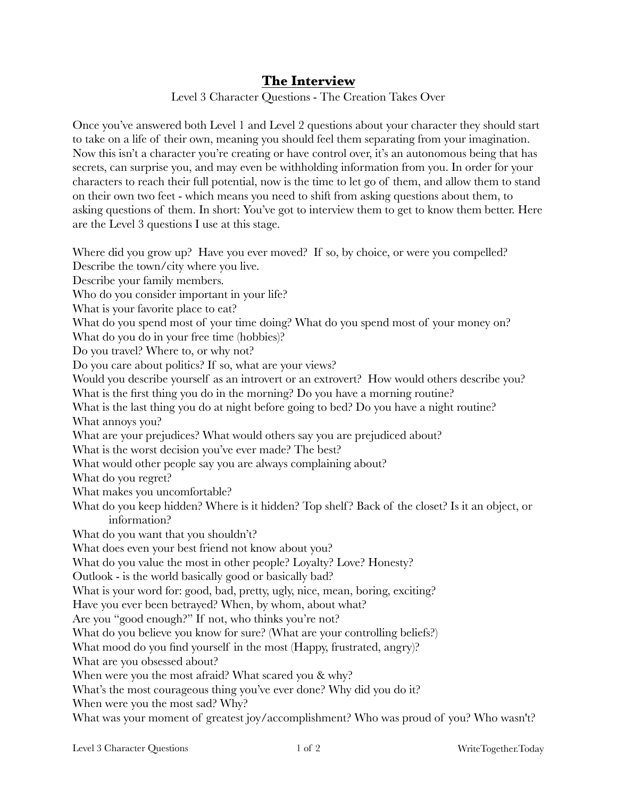## **The Interview**

Level 3 Character Questions - The Creation Takes Over

Once you've answered both Level 1 and Level 2 questions about your character they should start to take on a life of their own, meaning you should feel them separating from your imagination. Now this isn't a character you're creating or have control over, it's an autonomous being that has secrets, can surprise you, and may even be withholding information from you. In order for your characters to reach their full potential, now is the time to let go of them, and allow them to stand on their own two feet - which means you need to shift from asking questions about them, to asking questions of them. In short: You've got to interview them to get to know them better. Here are the Level 3 questions I use at this stage.

Where did you grow up? Have you ever moved? If so, by choice, or were you compelled? Describe the town/city where you live. Describe your family members. Who do you consider important in your life? What is your favorite place to eat? What do you spend most of your time doing? What do you spend most of your money on? What do you do in your free time (hobbies)? Do you travel? Where to, or why not? Do you care about politics? If so, what are your views? Would you describe yourself as an introvert or an extrovert? How would others describe you? What is the first thing you do in the morning? Do you have a morning routine? What is the last thing you do at night before going to bed? Do you have a night routine? What annoys you? What are your prejudices? What would others say you are prejudiced about? What is the worst decision you've ever made? The best? What would other people say you are always complaining about? What do you regret? What makes you uncomfortable? What do you keep hidden? Where is it hidden? Top shelf? Back of the closet? Is it an object, or information? What do you want that you shouldn't? What does even your best friend not know about you? What do you value the most in other people? Loyalty? Love? Honesty? Outlook - is the world basically good or basically bad? What is your word for: good, bad, pretty, ugly, nice, mean, boring, exciting? Have you ever been betrayed? When, by whom, about what? Are you "good enough?" If not, who thinks you're not? What do you believe you know for sure? (What are your controlling beliefs?) What mood do you find yourself in the most (Happy, frustrated, angry)? What are you obsessed about? When were you the most afraid? What scared you & why? What's the most courageous thing you've ever done? Why did you do it? When were you the most sad? Why?

What was your moment of greatest joy/accomplishment? Who was proud of you? Who wasn't?